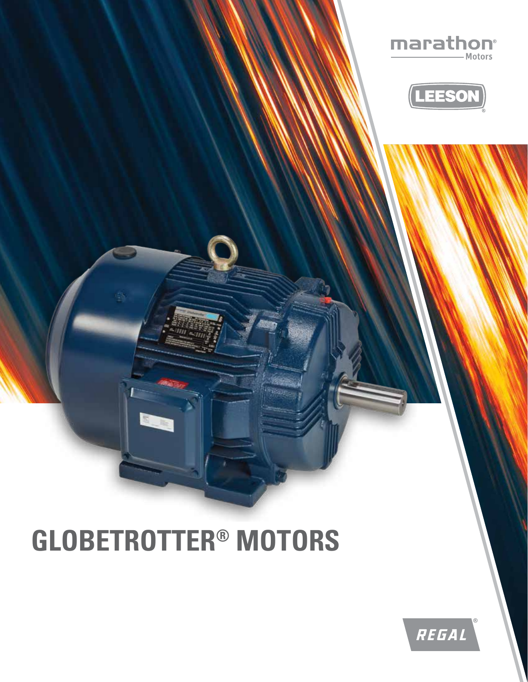

## **GLOBETROTTER® MOTORS**



marathon®

Motors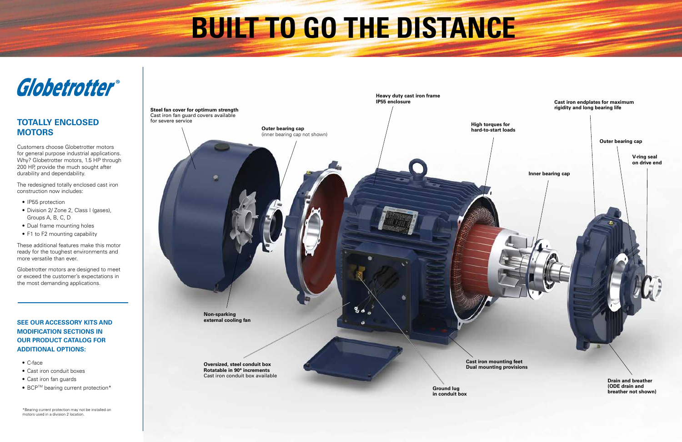## **BUILT TO GO THE DISTANCE**







- IP55 protection
- Division 2/ Zone 2, Class I (gases), Groups A, B, C, D
- Dual frame mounting holes
- F1 to F2 mounting capability

## **TOTALLY ENCLOSED MOTORS**

- C-face
- Cast iron conduit boxes
- Cast iron fan guards
- BCP<sup>™</sup> bearing current protection<sup>\*</sup>

Customers choose Globetrotter motors for general purpose industrial applications. Why? Globetrotter motors, 1.5 HP through 200 HP, provide the much sought after durability and dependability.

The redesigned totally enclosed cast iron construction now includes:

These additional features make this motor ready for the toughest environments and more versatile than ever.

Globetrotter motors are designed to meet or exceed the customer's expectations in the most demanding applications.

## **SEE OUR ACCESSORY KITS AND MODIFICATION SECTIONS IN OUR PRODUCT CATALOG FOR ADDITIONAL OPTIONS:**

\*Bearing current protection may not be installed on motors used in a division 2 location.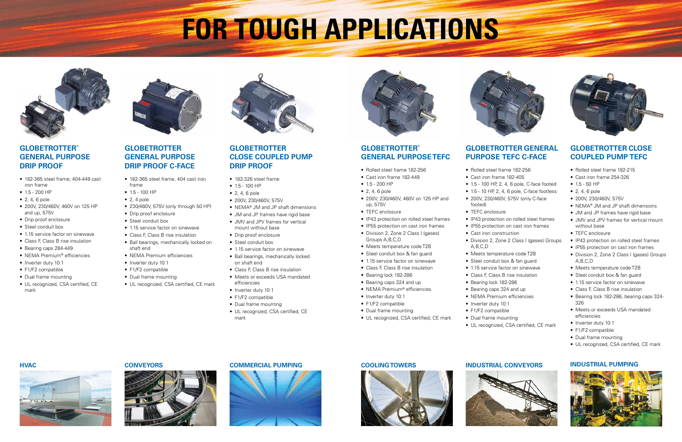# **FOR TOUGH APPLICATIONS**



## **GLOBETROTTER GENERAL PURPOSE DRIP PROOF C-FACE**

## **GLOBETROTTER® GENERAL PURPOSE DRIP PROOF**

• 1.5 - 100 HP • 2, 4, 6 pole

• Class F, Class B rise insulation • Meets or exceeds USA mandated



- 182-365 steel frame, 404 cast iron frame
- 1.5 100 HP
- $\bullet$  2, 4 pole
- 230/460V, 575V (only through 50 HP)
- Drip proof enclosure
- Steel conduit box
- 1.15 service factor on sinewave
- Class F, Class B rise insulation
- Ball bearings, mechanically locked on shaft end
- NEMA Premium efficiencies
- Inverter duty 10:1
- F1/F2 compatible
- Dual frame mounting
- UL recognized, CSA certified, CE mark
- efficiencies • Inverter duty 10:1
	- F1/F2 compatible
- 182-365 steel frame; 404-449 cast iron frame
- 1.5 200 HP
- 2, 4, 6 pole
- 200V, 230/460V, 460V on 125 HP and up, 575V
- Drip proof enclosure
- Steel conduit box
- 1.15 service factor on sinewave
- Class F, Class B rise insulation
- Bearing caps 284-449
- NEMA Premium® efficiencies
- Inverter duty 10:1
- F1/F2 compatible
- Dual frame mounting
- UL recognized, CSA certified, CE mark



**GLOBETROTTER** 

**CLOSE COUPLED PUMP** 

**DRIP PROOF**

• 182-326 steel frame

• 200V, 230/460V, 575V

- 
- 
- 1.5 200 HP
- 
- 
- 
- -
- 
- 
- 
- 1.15 service factor on sinewave
- Bearing lock 182-286
- Bearing caps 324 and up
- 
- 
- F1/F2 compatible
- Dual frame mounting
- 
- 

• NEMA® JM and JP shaft dimensions • JM and JP frames have rigid base • JMV and JPV frames for vertical

mount without base • Drip proof enclosure • Steel conduit box

• 1.15 service factor on sinewave • Ball bearings, mechanically locked

on shaft end

• Dual frame mounting

• UL recognized, CSA certified, CE mark

## **GLOBETROTTER® GENERAL PURPOSE TEFC**

• TEFC enclosure • IP55 protection on cast iron frames







- Rolled steel frame 182-256
- Cast iron frame 182-449
- 
- 2, 4, 6 pole
- 200V, 230/460V, 460V on 125 HP and up, 575V
- 
- IP43 protection on rolled steel frames
	-
- Groups A,B,C,D
- Meets temperature code T2B
- Steel conduit box & fan guard
- Class F, Class B rise insulation
- 
- NEMA Premium® efficiencies
- Inverter duty 10:1
- 
- 
- UL recognized, CSA certified, CE mark
- 



## **GLOBETROTTER GENERAL PURPOSE TEFC C-FACE**

• Rolled steel frame 182-256 • Cast iron frame 182-405 • 1.5 - 100 HP, 2, 4, 6 pole, C-face footed • 1.5 - 10 HP, 2, 4, 6 pole, C-face footless • 200V, 230/460V, 575V (only C-face

footed)

### • TEFC enclosure

A,B,C,D

- IP43 protection on rolled steel frames
- IP55 protection on cast iron frames
- Cast iron construction
- Division 2, Zone 2 Class I (gases) Groups
- Meets temperature code T2B
- Steel conduit box & fan guard
- 1.15 service factor on sinewave
- Class F, Class B rise insulation
- Bearing lock 182-286
- Bearing caps 324 and up
- NEMA Premium efficiencies
- Inverter duty 10:1
- F1/F2 compatible
- Dual frame mounting
- UL recognized, CSA certified, CE mark





## **GLOBETROTTER CLOSE COUPLED PUMP TEFC**

- Rolled steel frame 182-215
- Cast iron frame 254-326
- 1.5 50 HP
- 2, 4, 6 pole
- 200V, 230/460V, 575V
- NEMA® JM and JP shaft dimensions
- JM and JP frames have rigid base
- JMV and JPV frames for vertical mount without base
- TEFC enclosure
- IP43 protection on rolled steel frames
- IP55 protection on cast iron frames
- Division 2, Zone 2 Class I (gases) Groups A,B,C,D
- Meets temperature code T2B
- Steel conduit box & fan guard
- 1.15 service factor on sinewave
- Class F, Class B rise insulation
- Bearing lock 182-286, bearing caps 324- 326
- Meets or exceeds USA mandated efficiencies
- Inverter duty 10:1
- F1/F2 compatible
- Dual frame mounting
- UL recognized, CSA certified, CE mark









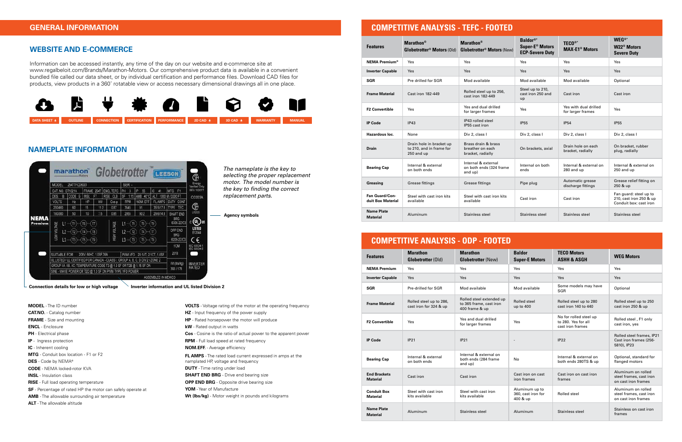| <b>COMPETITIVE ANALYSIS - TEFC - FOOTED</b> |                                                                        |                                                                              |                                                                         |                                                   |                                                                             |  |  |  |  |
|---------------------------------------------|------------------------------------------------------------------------|------------------------------------------------------------------------------|-------------------------------------------------------------------------|---------------------------------------------------|-----------------------------------------------------------------------------|--|--|--|--|
| <b>Features</b>                             | <b>Marathon</b> <sup>®</sup><br>Globetrotter <sup>®</sup> Motors (Old) | <b>Marathon</b> <sup>®</sup><br><b>Globetrotter<sup>®</sup> Motors (New)</b> | Baldor®*<br><b>Super-E<sup>®</sup> Motors</b><br><b>ECP-Severe Duty</b> | <b>TECO®*</b><br><b>MAX-E1<sup>®</sup> Motors</b> | <b>WEG®*</b><br><b>W22<sup>®</sup> Motors</b><br><b>Severe Duty</b>         |  |  |  |  |
| <b>NEMA Premium®</b>                        | Yes                                                                    | <b>Yes</b>                                                                   | Yes                                                                     | Yes                                               | Yes                                                                         |  |  |  |  |
| <b>Inverter Capable</b>                     | Yes                                                                    | Yes                                                                          | Yes                                                                     | <b>Yes</b>                                        | Yes                                                                         |  |  |  |  |
| SGR                                         | Pre drilled for SGR                                                    | Mod available                                                                | Mod available                                                           | Mod available                                     | Optional                                                                    |  |  |  |  |
| <b>Frame Material</b>                       | Cast iron 182-449                                                      | Rolled steel up to 256,<br>cast iron 182-449                                 | Steel up to 210,<br>cast iron 250 and<br>up                             | Cast iron                                         | Cast iron                                                                   |  |  |  |  |
| <b>F2 Convertible</b>                       | Yes                                                                    | Yes and dual drilled<br>for larger frames                                    | Yes                                                                     | Yes with dual drilled<br>for larger frames        | Yes                                                                         |  |  |  |  |
| <b>IP Code</b>                              | IP43                                                                   | IP43 rolled steel<br>IP55 cast iron                                          | <b>IP55</b>                                                             | <b>IP54</b>                                       | <b>IP55</b>                                                                 |  |  |  |  |
| Hazardous loc.                              | None                                                                   | Div 2, class I                                                               | Div 2, class I                                                          | Div 2, class I                                    | Div 2, class I                                                              |  |  |  |  |
| <b>Drain</b>                                | Drain hole in bracket up<br>to 210, and in frame for<br>250 and up     | Brass drain & brass<br>breather on each<br>bracket, radially                 | On brackets, axial                                                      | Drain hole on each<br>bracket, radially           | On bracket, rubber<br>plug, radially                                        |  |  |  |  |
| <b>Bearing Cap</b>                          | Internal & external<br>on both ends                                    | Internal & external<br>on both ends (324 frame<br>and up)                    | Internal on both<br>ends                                                | Internal & external on<br>280 and up              | Internal & external on<br>250 and up                                        |  |  |  |  |
| Greasing                                    | <b>Grease fittings</b>                                                 | Grease fittings                                                              | Pipe plug                                                               | Automatic grease<br>discharge fittings            | Grease relief fitting on<br>250 & up                                        |  |  |  |  |
| Fan Guard/Con-<br>duit Box Material         | Steel with cast iron kits<br>available                                 | Steel with cast iron kits<br>available                                       | Cast iron                                                               | Cast iron                                         | Fan guard: steel up to<br>210, cast iron 250 & up<br>Conduit box: cast iron |  |  |  |  |
| <b>Name Plate</b><br><b>Material</b>        | Aluminum                                                               | Stainless steel                                                              | Stainless steel                                                         | Stainless steel                                   | Stainless steel                                                             |  |  |  |  |

| <b>Features</b>                        | <b>Marathon</b><br><b>Globetrotter (Old)</b>      | <b>Marathon</b><br><b>Globetrotter (New)</b>                          | <b>Baldor</b><br><b>Super-E Motors</b>           | <b>TECO Motors</b><br><b>ASHH &amp; ASGH</b>                      | <b>WEG Motors</b>                                                    |
|----------------------------------------|---------------------------------------------------|-----------------------------------------------------------------------|--------------------------------------------------|-------------------------------------------------------------------|----------------------------------------------------------------------|
| <b>NEMA Premium</b>                    | Yes                                               | Yes                                                                   | Yes                                              | Yes                                                               | Yes                                                                  |
| <b>Inverter Capable</b>                | Yes                                               | Yes                                                                   | Yes                                              | Yes                                                               | Yes                                                                  |
| <b>SGR</b>                             | Pre-drilled for SGR                               | Mod available                                                         | Mod available                                    | Some models may have<br><b>SGR</b>                                | Optional                                                             |
| <b>Frame Material</b>                  | Rolled steel up to 286,<br>cast iron for 324 & up | Rolled steel extended up<br>to 365 frame, cast iron<br>400 frame & up | Rolled steel<br>up to 400                        | Rolled steel up to 280<br>cast iron 140 to 440                    | Rolled steel up to 250<br>cast iron 250 & up                         |
| <b>F2 Convertible</b>                  | Yes                                               | Yes and dual drilled<br>for larger frames                             | Yes                                              | No for rolled steel up<br>to 280. Yes for all<br>cast iron frames | Rolled steel, F1 only<br>cast iron, yes                              |
| <b>IP Code</b>                         | <b>IP21</b>                                       | <b>IP21</b>                                                           | $\overline{\phantom{a}}$                         | IP22                                                              | Rolled steel frames, IP21<br>Cast iron frames (256-<br>5810), IP23   |
| <b>Bearing Cap</b>                     | Internal & external<br>on both ends               | Internal & external on<br>both ends (284 frame<br>and up)             | No                                               | Internal & external on<br>both ends 280TS & up                    | Optional, standard for<br>flanged motors                             |
| <b>End Brackets</b><br><b>Material</b> | Cast iron                                         | Cast iron                                                             | Cast iron on cast<br>iron frames                 | Cast iron on cast iron<br>frames                                  | Aluminum on rolled<br>steel frames, cast iron<br>on cast iron frames |
| <b>Conduit Box</b><br>Material         | Steel with cast iron<br>kits available            | Steel with cast iron<br>kits available                                | Aluminum up to<br>360, cast iron for<br>400 & up | Rolled steel                                                      | Aluminum on rolled<br>steel frames, cast iron<br>on cast iron frames |
| <b>Name Plate</b><br><b>Material</b>   | Aluminum                                          | Stainless steel                                                       | Aluminum                                         | Stainless steel                                                   | Stainless on cast iron<br>frames                                     |

## **COMPETITIVE ANALYSIS - ODP - FOOTED**

*The nameplate is the key to selecting the proper replacement motor. The model number is the key to finding the correct* 

*replacement parts.*

**Agency symbols**

**Connection details for low or high voltage Inverter information and UL listed Division 2**

## **NAMEPLATE INFORMATION**



**MODEL** - The ID number **CAT.NO.** - Catalog number **FRAME** - Size and mounting **ENCL** - Enclosure **PH** - Electrical phase **IP** - Ingress protection **IC** - Inherent cooling **MTG** - Conduit box location - F1 or F2 **DES** - Code by NEMA® **CODE** - NEMA locked-rotor KVA **INSL** - Insulation class **RISE** - Full load operating temperature **SF** - Percentage of rated HP the motor can safely operate at **AMB** - The allowable surrounding air temperature **ALT** - The allowable altitude

### **WEBSITE AND E-COMMERCE**

Information can be accessed instantly, any time of the day on our website and e-commerce site at www.regalbeloit.com/Brands/Marathon-Motors. Our comprehensive product data is available in a convenient bundled file called our data sheet, or by individual certification and performance files. Download CAD files for products, view products in a 360˚ rotatable view or access necessary dimensional drawings all in one place.

> **VOLTS** - Voltage rating of the motor at the operating frequency **HZ** - Input frequency of the power supply **HP** - Rated horsepower the motor will produce **kW** - Rated output in watts **Cos** - Cosine is the ratio of actual power to the apparent power **RPM** - Full load speed at rated frequency **NOM.EFF.** - Average efficiency **FL AMPS** - The rated load current expressed in amps at the namplated HP, voltage and frequency **DUTY** - Time rating under load **SHAFT END BRG** - Drive end bearing size **OPP END BRG** - Opposite drive bearing size **YOM** - Year of Manufacture **Wt (lbs/kg)** - Motor weight in pounds and kilograms